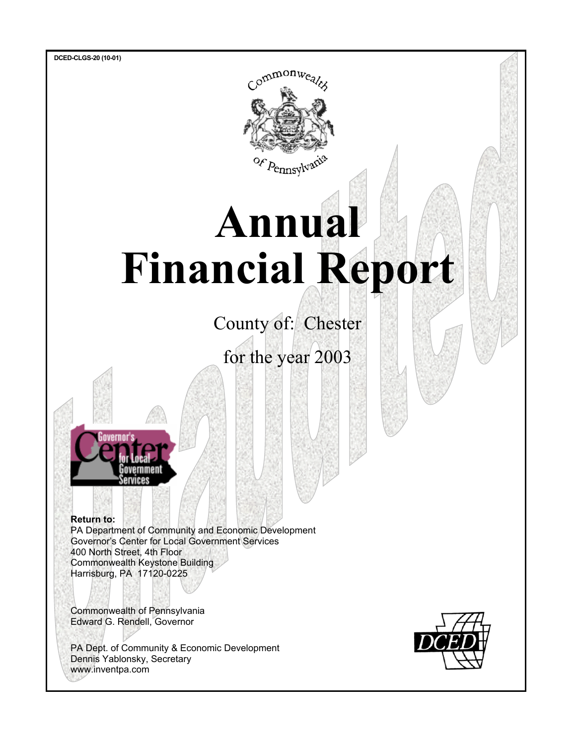

# **Annual Financial Report**

County of: Chester

for the year 2003



 **Return to:** PA Department of Community and Economic Development Governor's Center for Local Government Services 400 North Street, 4th Floor Commonwealth Keystone Building Harrisburg, PA 17120-0225

 Commonwealth of Pennsylvania Edward G. Rendell, Governor

 PA Dept. of Community & Economic Development Dennis Yablonsky, Secretary www.inventpa.com

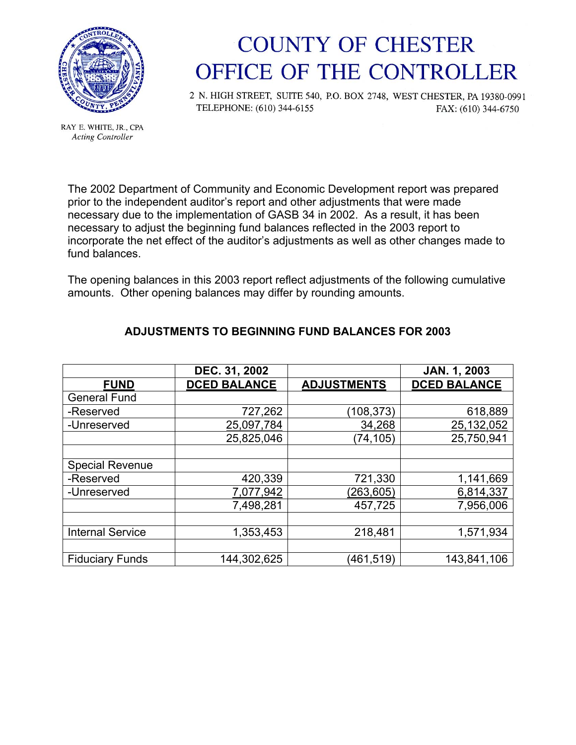

RAY E. WHITE, JR., CPA **Acting Controller** 

### **COUNTY OF CHESTER** OFFICE OF THE CONTROLLER

2 N. HIGH STREET, SUITE 540, P.O. BOX 2748, WEST CHESTER, PA 19380-0991 TELEPHONE: (610) 344-6155 FAX: (610) 344-6750

The 2002 Department of Community and Economic Development report was prepared prior to the independent auditor's report and other adjustments that were made necessary due to the implementation of GASB 34 in 2002. As a result, it has been necessary to adjust the beginning fund balances reflected in the 2003 report to incorporate the net effect of the auditor's adjustments as well as other changes made to fund balances.

The opening balances in this 2003 report reflect adjustments of the following cumulative amounts. Other opening balances may differ by rounding amounts.

|                         | DEC. 31, 2002       |                    | <b>JAN. 1, 2003</b> |
|-------------------------|---------------------|--------------------|---------------------|
| <b>FUND</b>             | <b>DCED BALANCE</b> | <b>ADJUSTMENTS</b> | <b>DCED BALANCE</b> |
| <b>General Fund</b>     |                     |                    |                     |
| -Reserved               | 727,262             | (108, 373)         | 618,889             |
| -Unreserved             | 25,097,784          | 34,268             | 25,132,052          |
|                         | 25,825,046          | (74, 105)          | 25,750,941          |
|                         |                     |                    |                     |
| <b>Special Revenue</b>  |                     |                    |                     |
| -Reserved               | 420,339             | 721,330            | 1,141,669           |
| -Unreserved             | 7,077,942           | (263, 605)         | 6,814,337           |
|                         | 7,498,281           | 457,725            | 7,956,006           |
|                         |                     |                    |                     |
| <b>Internal Service</b> | 1,353,453           | 218,481            | 1,571,934           |
|                         |                     |                    |                     |
| <b>Fiduciary Funds</b>  | 144,302,625         | (461, 519)         | 143,841,106         |

#### **ADJUSTMENTS TO BEGINNING FUND BALANCES FOR 2003**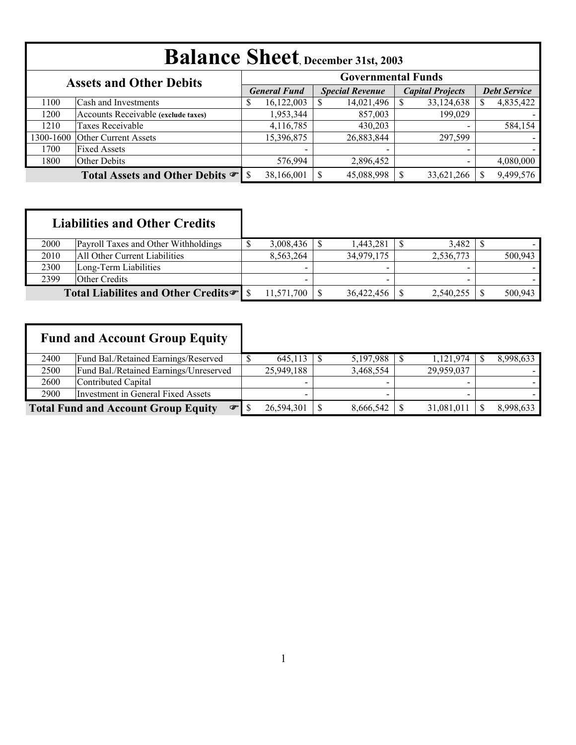|           | <b>Balance Sheet</b> , December 31st, 2003 |                           |                     |  |                        |  |                          |                     |           |  |  |  |  |
|-----------|--------------------------------------------|---------------------------|---------------------|--|------------------------|--|--------------------------|---------------------|-----------|--|--|--|--|
|           | <b>Assets and Other Debits</b>             | <b>Governmental Funds</b> |                     |  |                        |  |                          |                     |           |  |  |  |  |
|           |                                            |                           | <b>General Fund</b> |  | <b>Special Revenue</b> |  | <b>Capital Projects</b>  | <b>Debt Service</b> |           |  |  |  |  |
| 1100      | Cash and Investments                       | \$                        | 16,122,003          |  | 14,021,496             |  | 33,124,638               |                     | 4,835,422 |  |  |  |  |
| 1200      | Accounts Receivable (exclude taxes)        |                           | 1,953,344           |  | 857,003                |  | 199,029                  |                     |           |  |  |  |  |
| 1210      | Taxes Receivable                           |                           | 4,116,785           |  | 430,203                |  | $\,$                     |                     | 584,154   |  |  |  |  |
| 1300-1600 | <b>Other Current Assets</b>                |                           | 15,396,875          |  | 26,883,844             |  | 297,599                  |                     |           |  |  |  |  |
| 1700      | <b>Fixed Assets</b>                        |                           |                     |  |                        |  | $\blacksquare$           |                     |           |  |  |  |  |
| 1800      | Other Debits                               |                           | 576,994             |  | 2,896,452              |  | $\overline{\phantom{a}}$ |                     | 4,080,000 |  |  |  |  |
|           |                                            |                           | 38,166,001          |  | 45,088,998             |  | 33,621,266               |                     | 9,499,576 |  |  |  |  |

| 2000 | Payroll Taxes and Other Withholdings            | 3,008,436  | 1.443.281                | 3.482                    |         |
|------|-------------------------------------------------|------------|--------------------------|--------------------------|---------|
| 2010 | All Other Current Liabilities                   | 8.563.264  | 34.979.175               | 2,536,773                | 500.943 |
| 2300 | Long-Term Liabilities                           | $\sim$     | -                        | $\overline{\phantom{a}}$ |         |
| 2399 | Other Credits                                   |            | $\overline{\phantom{a}}$ |                          |         |
|      | Total Liabilites and Other Credits <sup>T</sup> | 11,571,700 | 36,422,456               | 2,540,255                | 500.943 |

I

|      | <b>Fund and Account Group Equity</b>                      |            |           |            |           |
|------|-----------------------------------------------------------|------------|-----------|------------|-----------|
| 2400 | Fund Bal./Retained Earnings/Reserved                      | 645,113    | 5,197,988 | 1,121,974  | 8,998,633 |
| 2500 | Fund Bal./Retained Earnings/Unreserved                    | 25,949,188 | 3,468,554 | 29,959,037 |           |
| 2600 | Contributed Capital                                       |            |           |            |           |
| 2900 | Investment in General Fixed Assets                        |            |           |            |           |
|      | <b>Total Fund and Account Group Equity</b><br>$\bullet$ S | 26,594,301 | 8,666,542 | 31,081,011 | 8,998,633 |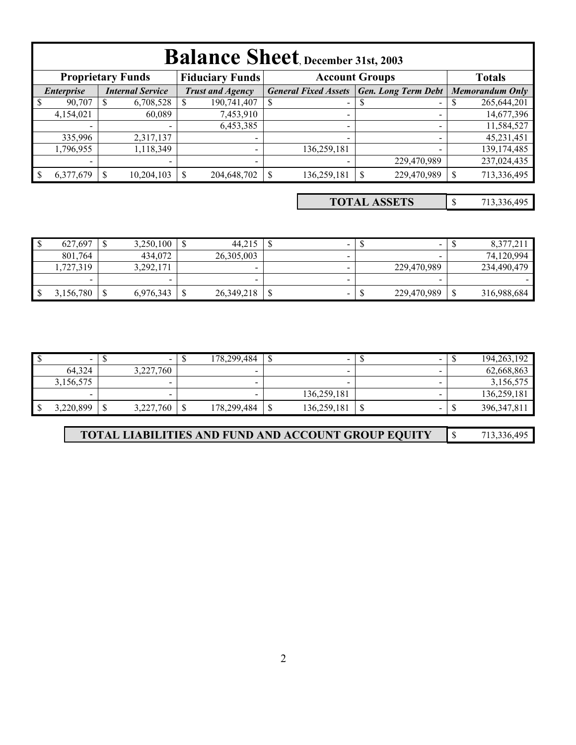|              | <b>Balance Sheet</b> , December 31st, 2003 |                          |  |                          |  |                             |   |                            |  |                        |  |  |  |  |
|--------------|--------------------------------------------|--------------------------|--|--------------------------|--|-----------------------------|---|----------------------------|--|------------------------|--|--|--|--|
|              |                                            | <b>Proprietary Funds</b> |  | <b>Fiduciary Funds</b>   |  | <b>Account Groups</b>       |   |                            |  | <b>Totals</b>          |  |  |  |  |
|              | <i>Enterprise</i>                          | <b>Internal Service</b>  |  | <b>Trust and Agency</b>  |  | <b>General Fixed Assets</b> |   | <b>Gen. Long Term Debt</b> |  | <b>Memorandum Only</b> |  |  |  |  |
| $\mathsf{S}$ | 90,707                                     | 6,708,528                |  | 190,741,407<br>S         |  | $\sim$                      | S |                            |  | 265,644,201            |  |  |  |  |
|              | 4,154,021                                  | 60,089                   |  | 7,453,910                |  | $\overline{\phantom{0}}$    |   |                            |  | 14,677,396             |  |  |  |  |
|              |                                            |                          |  | 6,453,385                |  | -                           |   |                            |  | 11,584,527             |  |  |  |  |
|              | 335,996                                    | 2,317,137                |  |                          |  |                             |   |                            |  | 45,231,451             |  |  |  |  |
|              | 1,796,955                                  | 1,118,349                |  |                          |  | 136,259,181                 |   |                            |  | 139, 174, 485          |  |  |  |  |
|              | $\,$                                       |                          |  | $\overline{\phantom{0}}$ |  |                             |   | 229,470,989                |  | 237,024,435            |  |  |  |  |
|              | 6,377,679                                  | 10,204,103               |  | 204,648,702              |  | 136,259,181                 |   | 229,470,989                |  | 713,336,495            |  |  |  |  |

\$ 713,336,495 **TOTAL ASSETS**

| $\triangle$<br>Ιυ | 627.697   | 3,250,100                | 44.215       | - |     |             | 8,377,21    |
|-------------------|-----------|--------------------------|--------------|---|-----|-------------|-------------|
|                   | 801,764   | 434,072                  | 26,305,003   |   |     |             | 74.120.994  |
|                   | .727.319  | 3,292,171                | $\sim$       | - |     | 229,470,989 | 234,490,479 |
|                   | -         | $\overline{\phantom{a}}$ |              | - |     |             |             |
| l \$              | 3,156,780 | 6,976,343                | 26, 349, 218 | - | A.L | 229,470,989 | 316,988,684 |

|     | $\overline{\phantom{a}}$ | $\overline{\phantom{a}}$ | 178.299.484 |            | -           | $\overline{\phantom{a}}$ |    | 194, 263, 192 |
|-----|--------------------------|--------------------------|-------------|------------|-------------|--------------------------|----|---------------|
|     | 64.324                   | 3,227,760                |             |            |             |                          |    | 62,668,863    |
|     | 3,156,575                | $\overline{\phantom{0}}$ | -           |            |             |                          |    | 3,156,575     |
|     |                          |                          |             |            | 136.259.181 |                          |    | 136,259,181   |
| -\$ | 3,220,899                | 3,227,760                | 178,299,484 | $\sqrt{2}$ | 136,259,181 | $\sim$                   | мI | 396, 347, 811 |

| <b>TOTAL LIABILITIES AND FUND AND ACCOUNT GROUP EQUITY</b> |  | 713,336,495 |
|------------------------------------------------------------|--|-------------|
|------------------------------------------------------------|--|-------------|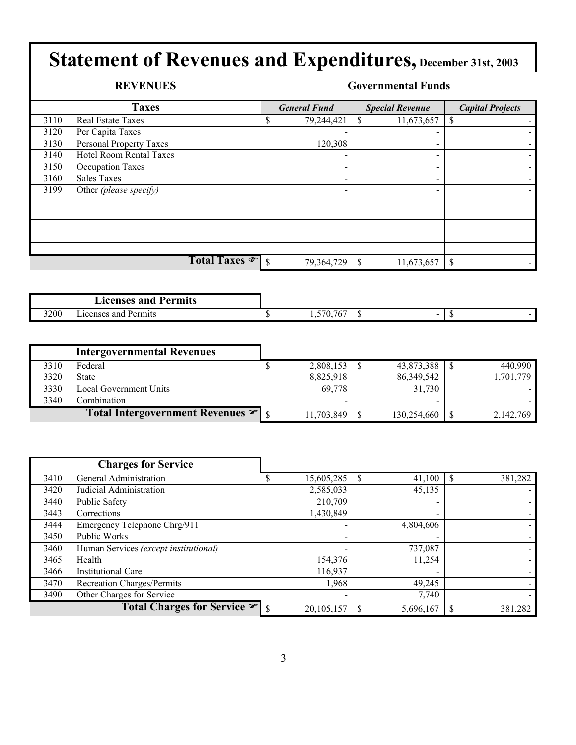|      | <b>REVENUES</b>         |               | <b>Governmental Funds</b> |               |                        |                         |  |  |  |  |  |  |
|------|-------------------------|---------------|---------------------------|---------------|------------------------|-------------------------|--|--|--|--|--|--|
|      | <b>Taxes</b>            |               | <b>General Fund</b>       |               | <b>Special Revenue</b> | <b>Capital Projects</b> |  |  |  |  |  |  |
| 3110 | Real Estate Taxes       | \$            | 79,244,421                |               | 11,673,657             | S                       |  |  |  |  |  |  |
| 3120 | Per Capita Taxes        |               |                           |               |                        |                         |  |  |  |  |  |  |
| 3130 | Personal Property Taxes |               | 120,308                   |               |                        |                         |  |  |  |  |  |  |
| 3140 | Hotel Room Rental Taxes |               |                           |               |                        |                         |  |  |  |  |  |  |
| 3150 | <b>Occupation Taxes</b> |               |                           |               | $\qquad \qquad$        |                         |  |  |  |  |  |  |
| 3160 | <b>Sales Taxes</b>      |               | $\qquad \qquad$           |               |                        |                         |  |  |  |  |  |  |
| 3199 | Other (please specify)  |               | $\overline{\phantom{0}}$  |               | -                      |                         |  |  |  |  |  |  |
|      |                         |               |                           |               |                        |                         |  |  |  |  |  |  |
|      |                         |               |                           |               |                        |                         |  |  |  |  |  |  |
|      |                         |               |                           |               |                        |                         |  |  |  |  |  |  |
|      |                         |               |                           |               |                        |                         |  |  |  |  |  |  |
|      |                         |               |                           |               |                        |                         |  |  |  |  |  |  |
|      | Total Taxes             | <sup>\$</sup> | 79,364,729                | $\mathcal{S}$ | 11,673,657             | S                       |  |  |  |  |  |  |

|      | <b>Licenses and P</b><br>Permits |                                                        |  |        |
|------|----------------------------------|--------------------------------------------------------|--|--------|
| 3200 | $-$<br>Permits<br>Licenses and   | $ -$<br>$\overline{r}$<br>76<br>$U_{\bullet}$ .<br>1.J |  | $\sim$ |

|      | <b>Intergovernmental Revenues</b>              |                          |             |           |
|------|------------------------------------------------|--------------------------|-------------|-----------|
| 3310 | Federal                                        | 2,808,153                | 43,873,388  | 440,990   |
| 3320 | <b>State</b>                                   | 8,825,918                | 86,349,542  | 1,701,779 |
| 3330 | Local Government Units                         | 69.778                   | 31.730      |           |
| 3340 | Combination                                    | $\overline{\phantom{0}}$ | -           |           |
|      | Total Intergovernment Revenues $\mathcal{F}$ s | 11,703,849               | 130,254,660 | 2,142,769 |

|      | <b>Charges for Service</b>            |              |                          |         |
|------|---------------------------------------|--------------|--------------------------|---------|
| 3410 | General Administration                | 15,605,285   | 41,100                   | 381,282 |
| 3420 | Judicial Administration               | 2,585,033    | 45,135                   |         |
| 3440 | Public Safety                         | 210,709      | $\blacksquare$           |         |
| 3443 | Corrections                           | 1,430,849    | $\overline{\phantom{0}}$ |         |
| 3444 | Emergency Telephone Chrg/911          |              | 4,804,606                |         |
| 3450 | Public Works                          |              |                          |         |
| 3460 | Human Services (except institutional) |              | 737,087                  |         |
| 3465 | Health                                | 154,376      | 11,254                   |         |
| 3466 | <b>Institutional Care</b>             | 116,937      |                          |         |
| 3470 | Recreation Charges/Permits            | 1,968        | 49,245                   |         |
| 3490 | Other Charges for Service             |              | 7,740                    |         |
|      | Total Charges for Service • \$        | 20, 105, 157 | 5,696,167                | 381,282 |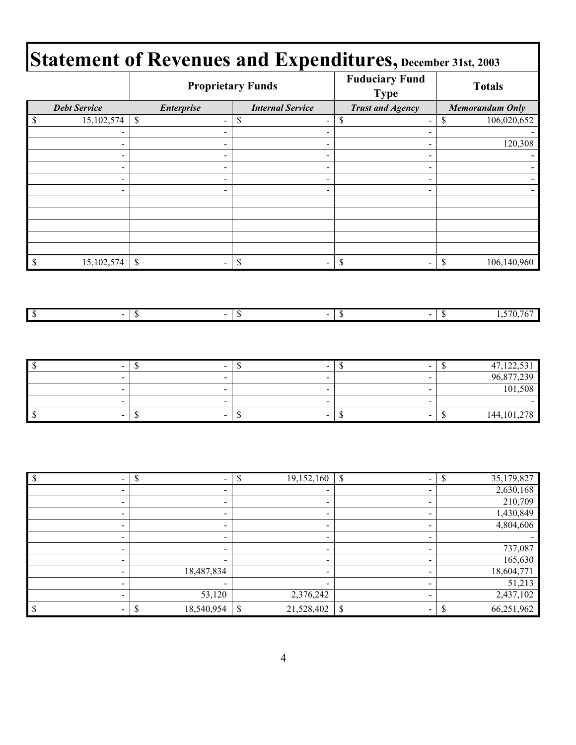| Statement of Revenues and Expenditures, December 31st, 2003 |                     |                   |                          |                                      |                        |  |  |
|-------------------------------------------------------------|---------------------|-------------------|--------------------------|--------------------------------------|------------------------|--|--|
|                                                             |                     |                   | <b>Proprietary Funds</b> | <b>Fuduciary Fund</b><br><b>Type</b> | <b>Totals</b>          |  |  |
|                                                             | <b>Debt Service</b> | <i>Enterprise</i> | <b>Internal Service</b>  | <b>Trust and Agency</b>              | <b>Memorandum Only</b> |  |  |
|                                                             | 15,102,574          |                   |                          |                                      | 106,020,652            |  |  |
|                                                             |                     |                   |                          |                                      |                        |  |  |
|                                                             |                     |                   | $\overline{\phantom{a}}$ |                                      | 120,308                |  |  |
|                                                             |                     |                   | $\overline{\phantom{0}}$ |                                      |                        |  |  |

 - - - - - - - - - - - - - - -

| 15,102,574 | $\sim$<br>- 11 | $\sim$         | $\sim$ | đ<br>۵U | 106,140,960                                             |
|------------|----------------|----------------|--------|---------|---------------------------------------------------------|
|            |                |                |        |         |                                                         |
|            |                |                |        |         |                                                         |
|            |                |                |        |         |                                                         |
| $\sim$     | $\sim$<br>- 11 | $\sim$<br>- 11 | $\sim$ | ື       | $\overline{\phantom{a}}$<br>767<br>1,0,1<br>$\mathbf v$ |

| $\overline{\phantom{a}}$ | $\sim$ | $\overline{\phantom{a}}$ | -                        | 47,122,531<br>м.    |
|--------------------------|--------|--------------------------|--------------------------|---------------------|
| $\sim$                   |        | $\sim$                   | -                        | 96,877,239          |
| $\sim$                   |        | $\sim$                   |                          | 101,508             |
|                          |        | $\overline{\phantom{a}}$ |                          |                     |
| $\overline{\phantom{a}}$ | $\sim$ | $\sim$<br>- 11           | $\overline{\phantom{a}}$ | 144, 101, 278<br>۰U |

|                          | $\overline{\phantom{0}}$ | ¢<br>19,152,160<br>D     | $\mathcal{S}$<br>$\blacksquare$ | 35,179,827<br>\$ |
|--------------------------|--------------------------|--------------------------|---------------------------------|------------------|
| $\overline{\phantom{0}}$ | $\overline{\phantom{0}}$ |                          |                                 | 2,630,168        |
| $\overline{\phantom{0}}$ |                          |                          |                                 | 210,709          |
| -                        |                          |                          |                                 | 1,430,849        |
| $\overline{\phantom{0}}$ |                          | $\overline{\phantom{0}}$ |                                 | 4,804,606        |
| $\overline{\phantom{0}}$ |                          | -                        |                                 |                  |
| $\overline{\phantom{0}}$ |                          | -                        |                                 | 737,087          |
| -                        |                          |                          |                                 | 165,630          |
| $\overline{\phantom{0}}$ | 18,487,834               | -                        |                                 | 18,604,771       |
| $\overline{\phantom{0}}$ |                          |                          |                                 | 51,213           |
| -                        | 53,120                   | 2,376,242                |                                 | 2,437,102        |
|                          | 18,540,954               | \$<br>21,528,402         | $\mathbb{S}$                    | 66,251,962       |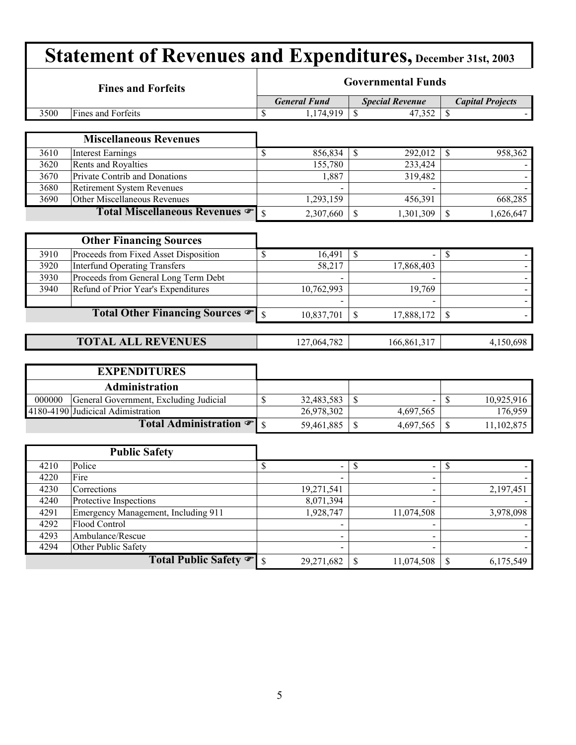|        | <b>Fines and Forfeits</b>                            |                          | <b>Governmental Funds</b> |                          |                          |  |  |  |  |  |
|--------|------------------------------------------------------|--------------------------|---------------------------|--------------------------|--------------------------|--|--|--|--|--|
|        |                                                      |                          | <b>General Fund</b>       | <b>Special Revenue</b>   | <b>Capital Projects</b>  |  |  |  |  |  |
| 3500   | Fines and Forfeits                                   | \$                       | 1,174,919                 | $\mathcal{S}$<br>47,352  | \$                       |  |  |  |  |  |
|        |                                                      |                          |                           |                          |                          |  |  |  |  |  |
|        | <b>Miscellaneous Revenues</b>                        |                          |                           |                          |                          |  |  |  |  |  |
| 3610   | <b>Interest Earnings</b>                             | \$                       | 856,834                   | 292,012<br>$\mathbb{S}$  | 958,362<br>\$            |  |  |  |  |  |
| 3620   | Rents and Royalties                                  |                          | 155,780                   | 233,424                  |                          |  |  |  |  |  |
| 3670   | Private Contrib and Donations                        |                          | 1,887                     | 319,482                  |                          |  |  |  |  |  |
| 3680   | <b>Retirement System Revenues</b>                    |                          |                           |                          |                          |  |  |  |  |  |
| 3690   | Other Miscellaneous Revenues                         |                          | 1,293,159                 | 456,391                  | 668,285                  |  |  |  |  |  |
|        | Total Miscellaneous Revenues                         | $\mathcal{S}$            | 2,307,660                 | \$<br>1,301,309          | $\$$<br>1,626,647        |  |  |  |  |  |
|        |                                                      |                          |                           |                          |                          |  |  |  |  |  |
|        | <b>Other Financing Sources</b>                       |                          |                           |                          |                          |  |  |  |  |  |
| 3910   | Proceeds from Fixed Asset Disposition                | \$                       | 16,491                    | $\mathcal{S}$            | \$                       |  |  |  |  |  |
| 3920   | <b>Interfund Operating Transfers</b>                 |                          | 58,217                    | 17,868,403               |                          |  |  |  |  |  |
| 3930   | Proceeds from General Long Term Debt                 |                          |                           |                          |                          |  |  |  |  |  |
| 3940   | Refund of Prior Year's Expenditures                  |                          | 10,762,993                | 19,769                   | $\blacksquare$           |  |  |  |  |  |
|        |                                                      |                          |                           |                          |                          |  |  |  |  |  |
|        | Total Other Financing Sources                        | $\mathcal{S}$            | 10,837,701                | \$<br>17,888,172         | \$                       |  |  |  |  |  |
|        |                                                      |                          |                           |                          |                          |  |  |  |  |  |
|        | <b>TOTAL ALL REVENUES</b>                            |                          | 127,064,782               | 166,861,317              | 4,150,698                |  |  |  |  |  |
|        |                                                      |                          |                           |                          |                          |  |  |  |  |  |
|        |                                                      |                          |                           |                          |                          |  |  |  |  |  |
|        | <b>EXPENDITURES</b>                                  |                          |                           |                          |                          |  |  |  |  |  |
|        | <b>Administration</b>                                |                          |                           |                          |                          |  |  |  |  |  |
| 000000 | General Government, Excluding Judicial               | \$                       | 32,483,583                | \$                       | \$<br>10,925,916         |  |  |  |  |  |
|        | 4180-4190 Judicical Adimistration                    |                          | 26,978,302                | 4,697,565                | 176,959                  |  |  |  |  |  |
|        | Total Administration $\mathcal F$                    | $\mathcal{S}$            | 59,461,885                | \$<br>4,697,565          | \$<br>11,102,875         |  |  |  |  |  |
|        |                                                      |                          |                           |                          |                          |  |  |  |  |  |
|        | <b>Public Safety</b>                                 |                          |                           |                          |                          |  |  |  |  |  |
| 4210   | Police                                               | $\overline{\mathcal{S}}$ |                           | $\overline{\mathcal{S}}$ | $\overline{\mathcal{S}}$ |  |  |  |  |  |
| 4220   | Fire                                                 |                          |                           |                          |                          |  |  |  |  |  |
| 4230   | Corrections                                          |                          | 19,271,541                |                          | 2,197,451                |  |  |  |  |  |
| 4240   | Protective Inspections                               |                          | 8,071,394                 |                          |                          |  |  |  |  |  |
| 4291   |                                                      |                          | 1,928,747                 | 11,074,508               |                          |  |  |  |  |  |
| 4292   | Emergency Management, Including 911<br>Flood Control |                          |                           |                          | 3,978,098                |  |  |  |  |  |
| 4293   | Ambulance/Rescue                                     |                          |                           |                          |                          |  |  |  |  |  |
| 4294   | Other Public Safety                                  |                          |                           |                          |                          |  |  |  |  |  |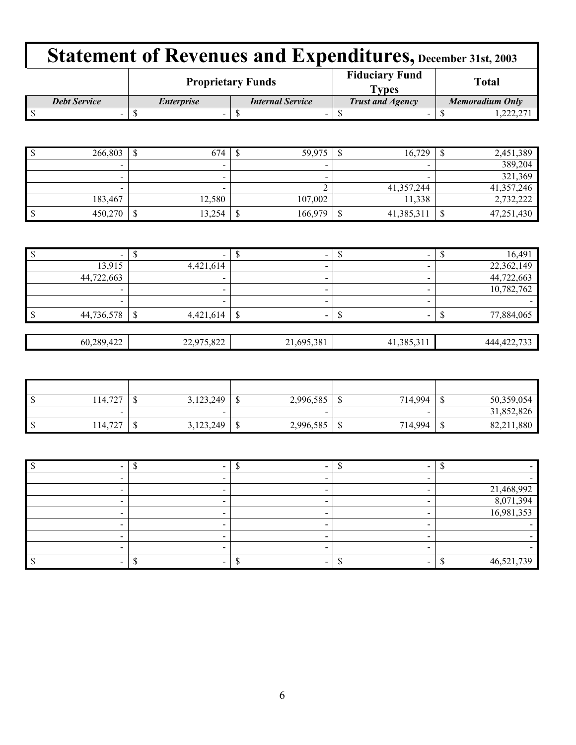|                     |                          | <b>Proprietary Funds</b> | <b>Fiduciary Fund</b><br><b>vpes</b> | <b>Total</b>    |  |
|---------------------|--------------------------|--------------------------|--------------------------------------|-----------------|--|
| <b>Debt Service</b> | <i><b>Enterprise</b></i> | <b>Internal Service</b>  | <b>Trust and Agency</b>              | Memoradium Only |  |
| $\sim$              | -                        | -                        | -                                    | . 444. 41       |  |

| 266,803                  | Ψ | 674                      | 59,975                   | 16,729     | 2,451,389  |
|--------------------------|---|--------------------------|--------------------------|------------|------------|
| $\overline{\phantom{0}}$ |   | $\overline{\phantom{a}}$ | $\overline{\phantom{a}}$ | $\sim$     | 389,204    |
| -                        |   | $\overline{\phantom{0}}$ | $\overline{\phantom{0}}$ | $\sim$     | 321,369    |
| $\,$                     |   | $\overline{\phantom{0}}$ |                          | 41,357,244 | 41,357,246 |
| 183,467                  |   | 12,580                   | 107,002                  | 11,338     | 2,732,222  |
| 450,270                  | ¢ | 13,254                   | 166,979                  | 41,385,31  | 47,251,430 |

| $\overline{\phantom{a}}$ |        |                          |                          | -          | 16,491        |
|--------------------------|--------|--------------------------|--------------------------|------------|---------------|
|                          | 13,915 | 4,421,614                | $\overline{\phantom{a}}$ |            | 22,362,149    |
| 44,722,663               |        | $\overline{\phantom{a}}$ | $\overline{\phantom{a}}$ |            | 44,722,663    |
|                          |        | $\overline{\phantom{a}}$ | $\overline{\phantom{a}}$ |            | 10,782,762    |
|                          |        | $\overline{\phantom{a}}$ |                          |            |               |
| 44,736,578<br>l \$       |        | 4,421,614                | S                        | -          | 77,884,065    |
|                          |        |                          |                          |            |               |
| 60,289,422               |        | 22,975,822               | 21,695,381               | 41,385,311 | 444, 422, 733 |

| $\mathsf{I}$ s | 14,727  | u | 3,123,249 |    | 2,996,585                | ч | 714,994 | ۰U | 50,359,054     |
|----------------|---------|---|-----------|----|--------------------------|---|---------|----|----------------|
|                | -       |   | -         |    | $\overline{\phantom{a}}$ |   | $\sim$  |    | 31,852,826     |
| $\mathsf{I}$   | 114,727 | w | 3,123,249 | ۰Ľ | 2,996,585                | ◡ | 714,994 | ۰U | 1,880<br>82,21 |

|  |  | 21,468,992 |
|--|--|------------|
|  |  | 8,071,394  |
|  |  | 16,981,353 |
|  |  |            |
|  |  |            |
|  |  |            |
|  |  | 46,521,739 |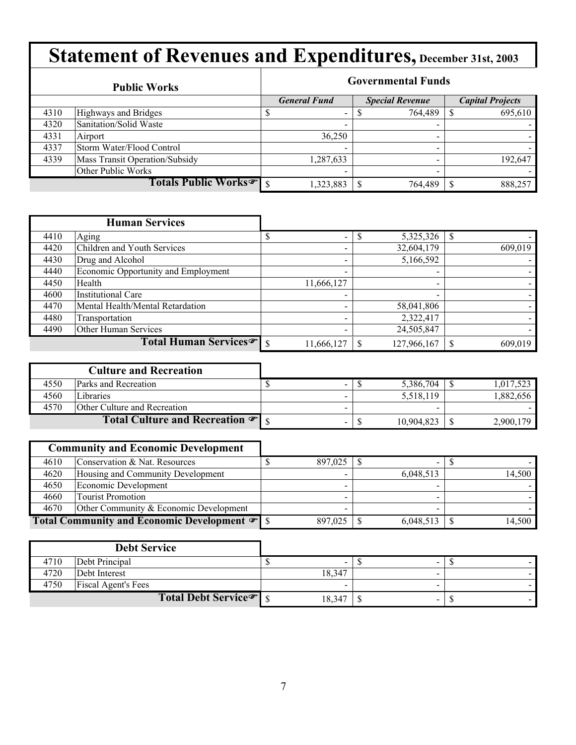|      | <b>Public Works</b>                 | <b>Governmental Funds</b> |                          |  |                        |  |                         |  |
|------|-------------------------------------|---------------------------|--------------------------|--|------------------------|--|-------------------------|--|
|      |                                     |                           | <b>General Fund</b>      |  | <b>Special Revenue</b> |  | <b>Capital Projects</b> |  |
| 4310 | Highways and Bridges                |                           | $\overline{\phantom{a}}$ |  | 764,489                |  | 695,610                 |  |
| 4320 | Sanitation/Solid Waste              |                           | $\overline{\phantom{a}}$ |  | $\blacksquare$         |  |                         |  |
| 4331 | Airport                             |                           | 36,250                   |  | $\,$                   |  |                         |  |
| 4337 | Storm Water/Flood Control           |                           | $\overline{\phantom{0}}$ |  |                        |  |                         |  |
| 4339 | Mass Transit Operation/Subsidy      |                           | 1,287,633                |  | $\blacksquare$         |  | 192,647                 |  |
|      | Other Public Works                  |                           |                          |  |                        |  |                         |  |
|      | Totals Public Works <sup>T</sup> \$ |                           | 1,323,883                |  | 764,489                |  | 888,257                 |  |

|      | <b>Human Services</b>               |                          |                          |         |
|------|-------------------------------------|--------------------------|--------------------------|---------|
| 4410 | Aging                               | $\overline{\phantom{a}}$ | ــه<br>5,325,326         |         |
| 4420 | Children and Youth Services         | $\blacksquare$           | 32,604,179               | 609,019 |
| 4430 | Drug and Alcohol                    |                          | 5,166,592                |         |
| 4440 | Economic Opportunity and Employment | -                        | $\overline{\phantom{0}}$ |         |
| 4450 | Health                              | 11,666,127               | $\blacksquare$           |         |
| 4600 | <b>Institutional Care</b>           |                          | -                        |         |
| 4470 | Mental Health/Mental Retardation    |                          | 58,041,806               |         |
| 4480 | Transportation                      | $\overline{\phantom{0}}$ | 2,322,417                |         |
| 4490 | Other Human Services                |                          | 24,505,847               |         |
|      | Total Human Services <sup>®</sup> s | 11,666,127               | 127,966,167              | 609.019 |

|      | <b>Culture and Recreation</b>                |                          |            |           |
|------|----------------------------------------------|--------------------------|------------|-----------|
| 4550 | <b>Parks and Recreation</b>                  | $\overline{\phantom{0}}$ | 5,386,704  | 1,017,523 |
| 4560 | Libraries                                    |                          | 5,518,119  | 1.882.656 |
| 4570 | <b>Other Culture and Recreation</b>          |                          | -          |           |
|      | Total Culture and Recreation $\mathcal{F}$ s |                          | 10,904,823 | 2,900,179 |

|      | <b>Community and Economic Development</b> |         |           |        |
|------|-------------------------------------------|---------|-----------|--------|
| 4610 | Conservation & Nat. Resources             | 897,025 | -         |        |
| 4620 | Housing and Community Development         |         | 6,048,513 | 14,500 |
| 4650 | Economic Development                      |         |           |        |
| 4660 | <b>Tourist Promotion</b>                  |         |           |        |
| 4670 | Other Community & Economic Development    |         |           |        |
|      |                                           | 897.025 | 6,048,513 | 14,500 |

|      | <b>Debt Service</b>               |        |                          |  |
|------|-----------------------------------|--------|--------------------------|--|
| 4710 | Debt Principal                    |        | -                        |  |
| 4720 | Debt Interest                     | 18,347 |                          |  |
| 4750 | <b>Fiscal Agent's Fees</b>        |        |                          |  |
|      | Total Debt Service <sup>T</sup> s | 18,347 | $\overline{\phantom{a}}$ |  |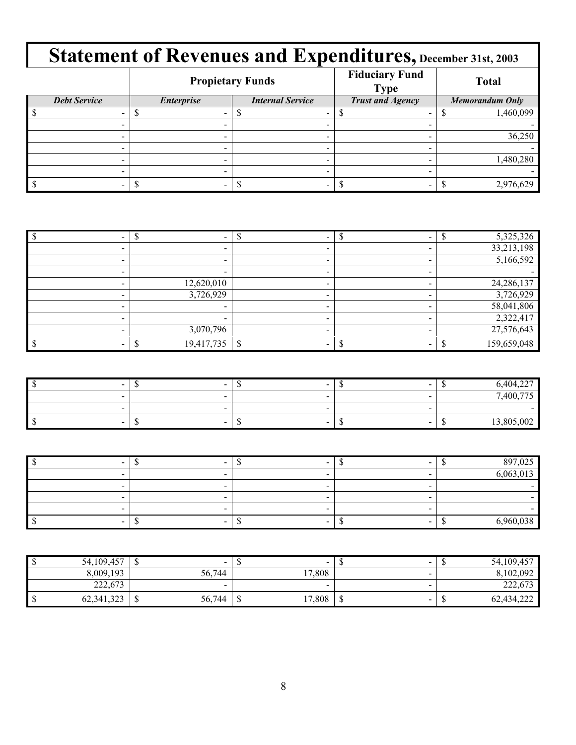|                     |                   | <b>Propietary Funds</b> | <b>Fiduciary Fund</b><br><b>Type</b> | <b>Total</b>           |  |  |
|---------------------|-------------------|-------------------------|--------------------------------------|------------------------|--|--|
| <b>Debt Service</b> | <b>Enterprise</b> |                         | <b>Trust and Agency</b>              | <b>Memorandum Only</b> |  |  |
|                     |                   |                         |                                      | 1,460,099              |  |  |
|                     |                   |                         |                                      |                        |  |  |
|                     |                   |                         |                                      | 36,250                 |  |  |
|                     |                   |                         |                                      |                        |  |  |
|                     |                   |                         |                                      | 1,480,280              |  |  |
|                     | -                 | -                       |                                      |                        |  |  |
|                     |                   |                         |                                      | 2,976,629              |  |  |

|                          |  | 5,325,326   |
|--------------------------|--|-------------|
|                          |  | 33,213,198  |
| $\overline{\phantom{0}}$ |  | 5,166,592   |
| $\overline{\phantom{0}}$ |  |             |
| 12,620,010               |  | 24,286,137  |
| 3,726,929                |  | 3,726,929   |
|                          |  | 58,041,806  |
|                          |  | 2,322,417   |
| 3,070,796                |  | 27,576,643  |
| 19,417,735               |  | 159,659,048 |

| $\sim$ | $-$    | $\sim$                           | $\sim$ | $\sim$<br>$A\Omega A$<br>$\cdot$ v |
|--------|--------|----------------------------------|--------|------------------------------------|
| $\sim$ | $\sim$ |                                  |        | 7,400,775                          |
| $\sim$ | $\sim$ |                                  |        |                                    |
| $\sim$ | $\sim$ | $\overline{\phantom{a}}$<br>- 11 | $\sim$ | 13,805,002<br>- 11                 |

| $\sim$ |                          |   | 897,025   |
|--------|--------------------------|---|-----------|
|        | $\overline{\phantom{a}}$ |   | 6,063,013 |
|        | $\overline{\phantom{a}}$ | - |           |
|        | -                        |   |           |
|        | $\overline{\phantom{a}}$ |   |           |
| $\sim$ | -                        |   | 6.960.038 |

| 54,109,457 | $\sim$<br>мB              |     | $\overline{\phantom{a}}$ |                  | $\sim$                   | $\mathbf{L}$ | 54,109,457 |
|------------|---------------------------|-----|--------------------------|------------------|--------------------------|--------------|------------|
| 8,009,193  | 56,744                    |     | 17,808                   |                  | $\overline{\phantom{0}}$ |              | 8,102,092  |
| 222,673    | $\sim$                    |     | $\overline{\phantom{a}}$ |                  | $\sim$                   |              | 222,673    |
| 62,341,323 | 56,744<br>$\sqrt{2}$<br>ື | - D | 17,808                   | $\sqrt{2}$<br>۰U | $\overline{\phantom{a}}$ | ۰U           | 62,434,222 |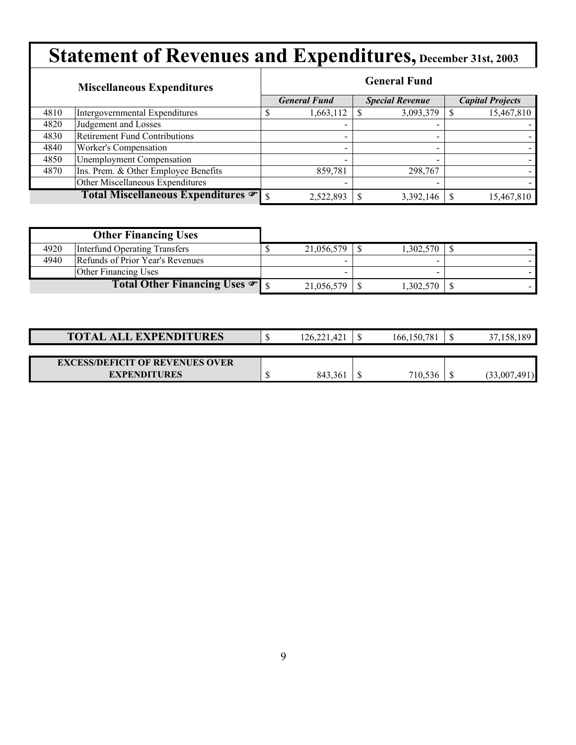|      | <b>Miscellaneous Expenditures</b>    |  | <b>General Fund</b>      |  |                        |  |                         |  |  |
|------|--------------------------------------|--|--------------------------|--|------------------------|--|-------------------------|--|--|
|      |                                      |  | <b>General Fund</b>      |  | <b>Special Revenue</b> |  | <b>Capital Projects</b> |  |  |
| 4810 | Intergovernmental Expenditures       |  | 1,663,112                |  | 3,093,379              |  | 15,467,810              |  |  |
| 4820 | Judgement and Losses                 |  |                          |  |                        |  |                         |  |  |
| 4830 | <b>Retirement Fund Contributions</b> |  |                          |  |                        |  |                         |  |  |
| 4840 | Worker's Compensation                |  | $\overline{\phantom{0}}$ |  | -                      |  |                         |  |  |
| 4850 | <b>Unemployment Compensation</b>     |  |                          |  |                        |  |                         |  |  |
| 4870 | Ins. Prem. & Other Employee Benefits |  | 859,781                  |  | 298,767                |  |                         |  |  |
|      | Other Miscellaneous Expenditures     |  | $\overline{\phantom{0}}$ |  | -                      |  |                         |  |  |
|      | Total Miscellaneous Expenditures     |  | 2,522,893                |  | 3,392,146              |  | 15,467,810              |  |  |

|      | <b>Other Financing Uses</b>                |                   |           |  |
|------|--------------------------------------------|-------------------|-----------|--|
| 4920 | Interfund Operating Transfers              | 21,056,579        | 1,302,570 |  |
| 4940 | Refunds of Prior Year's Revenues           | $\sim$            | -         |  |
|      | <b>Other Financing Uses</b>                |                   | -         |  |
|      | Total Other Financing Uses $\mathcal{F}$ s | $21,056,579$   \$ | 1,302,570 |  |

| <b>TOTAL ALL EXPENDITURES</b>          | 126,221,421 | 166, 150, 781 | 189<br>158.  |
|----------------------------------------|-------------|---------------|--------------|
|                                        |             |               |              |
| <b>EXCESS/DEFICIT OF REVENUES OVER</b> |             |               |              |
| <b>EXPENDITURES</b>                    | 843,361     | 710,536       | (33,007,491) |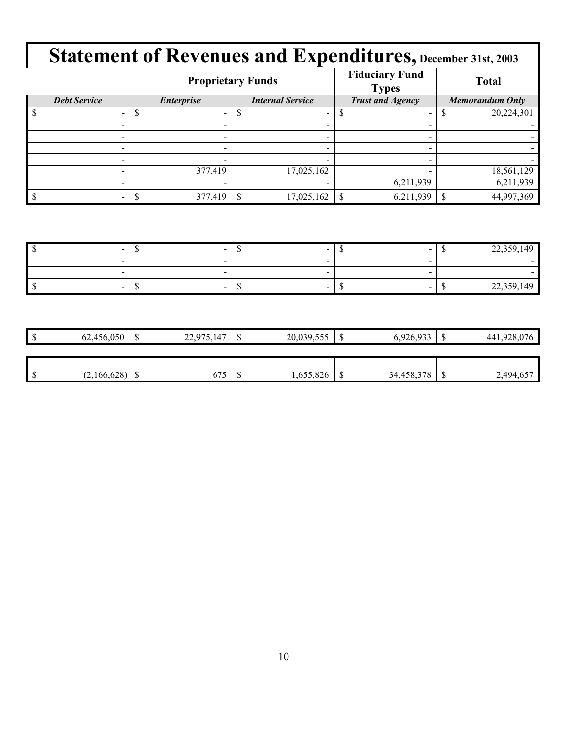|                          |                   | <b>Proprietary Funds</b> | <b>Fiduciary Fund</b><br><b>Types</b> | <b>Total</b>           |  |
|--------------------------|-------------------|--------------------------|---------------------------------------|------------------------|--|
| <b>Debt Service</b>      | <b>Enterprise</b> | <b>Internal Service</b>  | <b>Trust and Agency</b>               | <b>Memorandum Only</b> |  |
|                          |                   |                          |                                       | 20,224,301             |  |
|                          |                   |                          |                                       |                        |  |
|                          |                   |                          |                                       |                        |  |
| $\overline{\phantom{a}}$ |                   | $\overline{\phantom{a}}$ |                                       |                        |  |
|                          |                   |                          |                                       |                        |  |
|                          | 377,419           | 17,025,162               |                                       | 18,561,129             |  |
|                          |                   |                          | 6,211,939                             | 6,211,939              |  |
|                          | 377,419           | 17,025,162               | 6,211,939                             | 44,997,369             |  |

| $\sim$                   | $\sim$                   | $\sim$                   |  | 22.25<br>$\Lambda$<br>---    |
|--------------------------|--------------------------|--------------------------|--|------------------------------|
|                          |                          |                          |  |                              |
|                          |                          |                          |  |                              |
| $\overline{\phantom{a}}$ | $\overline{\phantom{a}}$ | $\overline{\phantom{a}}$ |  | 22.50<br>$\Delta$<br>ر رہے ت |

| 62,456,050  | w | .147<br>22.975<br>ل الريم که | ₼<br>Ψ | 20,039,555 | ۰D | 6,926,933  | $\triangle$      | .928.076<br>441. |
|-------------|---|------------------------------|--------|------------|----|------------|------------------|------------------|
|             |   |                              |        |            |    |            |                  |                  |
|             |   |                              |        |            |    |            |                  |                  |
| (2,166,628) | ◡ | 675                          | w      | 1,655,826  | ╜  | 34,458,378 | $\triangle$<br>w | 2,494,65         |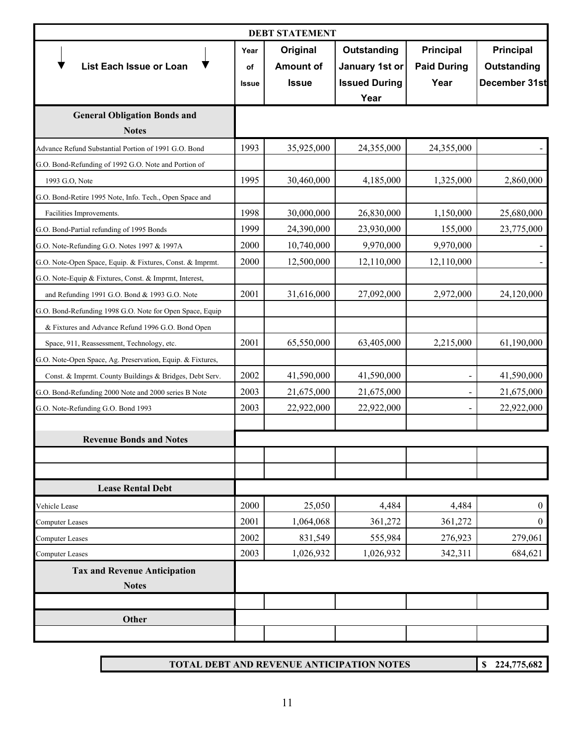| <b>DEBT STATEMENT</b>                                      |                            |                                              |                                                               |                                         |                                                  |
|------------------------------------------------------------|----------------------------|----------------------------------------------|---------------------------------------------------------------|-----------------------------------------|--------------------------------------------------|
| List Each Issue or Loan                                    | Year<br>οf<br><b>Issue</b> | Original<br><b>Amount of</b><br><b>Issue</b> | Outstanding<br>January 1st or<br><b>Issued During</b><br>Year | Principal<br><b>Paid During</b><br>Year | <b>Principal</b><br>Outstanding<br>December 31st |
| <b>General Obligation Bonds and</b><br><b>Notes</b>        |                            |                                              |                                                               |                                         |                                                  |
| Advance Refund Substantial Portion of 1991 G.O. Bond       | 1993                       | 35,925,000                                   | 24,355,000                                                    | 24,355,000                              |                                                  |
| G.O. Bond-Refunding of 1992 G.O. Note and Portion of       |                            |                                              |                                                               |                                         |                                                  |
| 1993 G.O, Note                                             | 1995                       | 30,460,000                                   | 4,185,000                                                     | 1,325,000                               | 2,860,000                                        |
| G.O. Bond-Retire 1995 Note, Info. Tech., Open Space and    |                            |                                              |                                                               |                                         |                                                  |
| Facilities Improvements.                                   | 1998                       | 30,000,000                                   | 26,830,000                                                    | 1,150,000                               | 25,680,000                                       |
| G.O. Bond-Partial refunding of 1995 Bonds                  | 1999                       | 24,390,000                                   | 23,930,000                                                    | 155,000                                 | 23,775,000                                       |
| G.O. Note-Refunding G.O. Notes 1997 & 1997A                | 2000                       | 10,740,000                                   | 9,970,000                                                     | 9,970,000                               |                                                  |
| G.O. Note-Open Space, Equip. & Fixtures, Const. & Imprmt.  | 2000                       | 12,500,000                                   | 12,110,000                                                    | 12,110,000                              |                                                  |
| G.O. Note-Equip & Fixtures, Const. & Imprmt, Interest,     |                            |                                              |                                                               |                                         |                                                  |
| and Refunding 1991 G.O. Bond & 1993 G.O. Note              | 2001                       | 31,616,000                                   | 27,092,000                                                    | 2,972,000                               | 24,120,000                                       |
| G.O. Bond-Refunding 1998 G.O. Note for Open Space, Equip   |                            |                                              |                                                               |                                         |                                                  |
| & Fixtures and Advance Refund 1996 G.O. Bond Open          |                            |                                              |                                                               |                                         |                                                  |
| Space, 911, Reassessment, Technology, etc.                 | 2001                       | 65,550,000                                   | 63,405,000                                                    | 2,215,000                               | 61,190,000                                       |
| G.O. Note-Open Space, Ag. Preservation, Equip. & Fixtures, |                            |                                              |                                                               |                                         |                                                  |
| Const. & Imprmt. County Buildings & Bridges, Debt Serv.    | 2002                       | 41,590,000                                   | 41,590,000                                                    |                                         | 41,590,000                                       |
| G.O. Bond-Refunding 2000 Note and 2000 series B Note       | 2003                       | 21,675,000                                   | 21,675,000                                                    |                                         | 21,675,000                                       |
| G.O. Note-Refunding G.O. Bond 1993                         | 2003                       | 22,922,000                                   | 22,922,000                                                    |                                         | 22,922,000                                       |
|                                                            |                            |                                              |                                                               |                                         |                                                  |
| <b>Revenue Bonds and Notes</b>                             |                            |                                              |                                                               |                                         |                                                  |
|                                                            |                            |                                              |                                                               |                                         |                                                  |
|                                                            |                            |                                              |                                                               |                                         |                                                  |
| <b>Lease Rental Debt</b>                                   |                            |                                              |                                                               |                                         |                                                  |
| Vehicle Lease                                              | 2000                       | 25,050                                       | 4,484                                                         | 4,484                                   | $\boldsymbol{0}$                                 |
| <b>Computer Leases</b>                                     | 2001                       | 1,064,068                                    | 361,272                                                       | 361,272                                 | $\boldsymbol{0}$                                 |
| Computer Leases                                            | 2002                       | 831,549                                      | 555,984                                                       | 276,923                                 | 279,061                                          |
| <b>Computer Leases</b>                                     | 2003                       | 1,026,932                                    | 1,026,932                                                     | 342,311                                 | 684,621                                          |
| <b>Tax and Revenue Anticipation</b><br><b>Notes</b>        |                            |                                              |                                                               |                                         |                                                  |
|                                                            |                            |                                              |                                                               |                                         |                                                  |
| Other                                                      |                            |                                              |                                                               |                                         |                                                  |
|                                                            |                            |                                              |                                                               |                                         |                                                  |
|                                                            |                            |                                              |                                                               |                                         |                                                  |

**TOTAL DEBT AND REVENUE ANTICIPATION NOTES**

**\$ 224,775,682**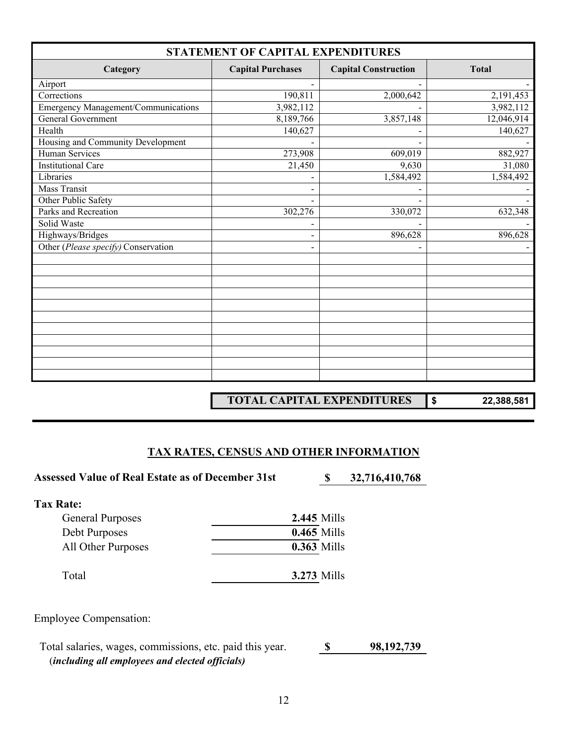| STATEMENT OF CAPITAL EXPENDITURES          |                          |                             |              |  |  |  |
|--------------------------------------------|--------------------------|-----------------------------|--------------|--|--|--|
| Category                                   | <b>Capital Purchases</b> | <b>Capital Construction</b> | <b>Total</b> |  |  |  |
| Airport                                    |                          |                             |              |  |  |  |
| Corrections                                | 190,811                  | 2,000,642                   | 2,191,453    |  |  |  |
| <b>Emergency Management/Communications</b> | 3,982,112                |                             | 3,982,112    |  |  |  |
| General Government                         | 8,189,766                | 3,857,148                   | 12,046,914   |  |  |  |
| Health                                     | 140,627                  |                             | 140,627      |  |  |  |
| Housing and Community Development          |                          |                             |              |  |  |  |
| Human Services                             | 273,908                  | 609,019                     | 882,927      |  |  |  |
| <b>Institutional Care</b>                  | 21,450                   | 9,630                       | 31,080       |  |  |  |
| Libraries                                  |                          | 1,584,492                   | 1,584,492    |  |  |  |
| <b>Mass Transit</b>                        |                          |                             |              |  |  |  |
| Other Public Safety                        |                          |                             |              |  |  |  |
| Parks and Recreation                       | 302,276                  | 330,072                     | 632,348      |  |  |  |
| Solid Waste                                |                          |                             |              |  |  |  |
| Highways/Bridges                           |                          | 896,628                     | 896,628      |  |  |  |
| Other (Please specify) Conservation        |                          |                             |              |  |  |  |
|                                            |                          |                             |              |  |  |  |
|                                            |                          |                             |              |  |  |  |
|                                            |                          |                             |              |  |  |  |
|                                            |                          |                             |              |  |  |  |
|                                            |                          |                             |              |  |  |  |
|                                            |                          |                             |              |  |  |  |
|                                            |                          |                             |              |  |  |  |
|                                            |                          |                             |              |  |  |  |
|                                            |                          |                             |              |  |  |  |
|                                            |                          |                             |              |  |  |  |
|                                            |                          |                             |              |  |  |  |

**TOTAL CAPITAL EXPENDITURES \$ 22,388,581**

#### **TAX RATES, CENSUS AND OTHER INFORMATION**

Assessed Value of Real Estate as of December 31st **\$ 32,716,410,768** 

| Tax Rate:               |                    |
|-------------------------|--------------------|
| <b>General Purposes</b> | <b>2.445 Mills</b> |
| Debt Purposes           | <b>0.465 Mills</b> |
| All Other Purposes      | <b>0.363 Mills</b> |
| Total                   | <b>3.273 Mills</b> |

Employee Compensation:

 Total salaries, wages, commissions, etc. paid this year. **\$ 98,192,739** (*including all employees and elected officials)*